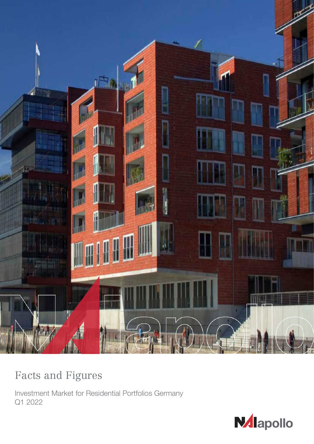

# Facts and Figures

Investment Market for Residential Portfolios Germany Q1 2022

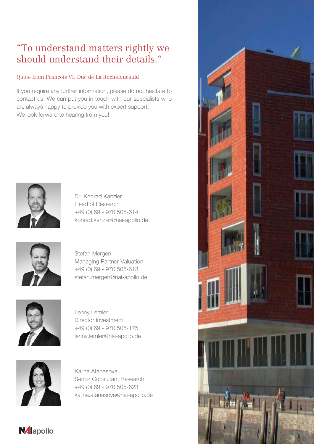# "To understand matters rightly we should understand their details."

# Quote from François VI. Duc de La Rochefoucauld

If you require any further information, please do not hesitate to contact us. We can put you in touch with our specialists who are always happy to provide you with expert support. We look forward to hearing from you!



Dr. Konrad Kanzler Head of Research +49 (0) 69 - 970 505-614 konrad.kanzler@nai-apollo.de



Stefan Mergen Managing Partner Valuation +49 (0) 69 - 970 505-613 stefan.mergen@nai-apollo.de



Lenny Lemler Director Investment +49 (0) 69 - 970 505-175 lenny.lemler@nai-apollo.de



**N**lapollo

Kalina Atanasova Senior Consultant Research +49 (0) 69 - 970 505-623 kalina.atanasova@nai-apollo.de

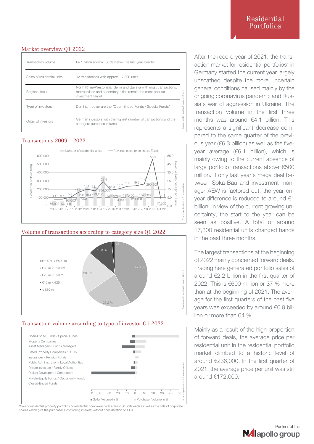## Residential Portfolios

## Market overview Q1 2022

| Transaction volume         | $\epsilon$ 4.1 billion approx. 36 % below the last year quarter                                                                                      |
|----------------------------|------------------------------------------------------------------------------------------------------------------------------------------------------|
| Sales of residential units | 92 transactions with approx. 17,300 units                                                                                                            |
| Regional focus             | North Rhine-Westphalia, Berlin and Bavaria with most transactions,<br>metropolises and secondary cities remain the most popular<br>investment target |
| Type of investors          | Source: apollo valuation & research GmbH<br>Dominant buyer are the "Open-Ended Funds / Special Funds"                                                |
| Origin of investors        | German investors with the highest number of transactions and the<br>strongest purchase volume                                                        |

## Transactions 2009 – 2022



## Volume of transactions according to category size Q1 2022



## Transaction volume according to type of investor Q1 2022



\*Sale of residential property portfolios or residential complexes with at least 30 units each as well as the sale of corporate shares which give the purchaser a controlling interest; without consideration of IPOs

After the record year of 2021, the transaction market for residential portfolios\* in Germany started the current year largely unscathed despite the more uncertain general conditions caused mainly by the ongoing coronavirus pandemic and Russia's war of aggression in Ukraine. The transaction volume in the first three months was around €4.1 billion. This represents a significant decrease compared to the same quarter of the previous year (€6.3 billion) as well as the fiveyear average (€6.1 billion), which is mainly owing to the current absence of large portfolio transactions above €500 million. If only last year's mega deal between Soka-Bau and investment manager AEW is factored out, the year-onyear difference is reduced to around €1 billion. In view of the current growing uncertainty, the start to the year can be seen as positive. A total of around 17,300 residential units changed hands in the past three months.

The largest transactions at the beginning of 2022 mainly concerned forward deals. Trading here generated portfolio sales of around €2.2 billion in the first quarter of 2022. This is €600 million or 37 % more than at the beginning of 2021. The average for the first quarters of the past five years was exceeded by around €0.9 billion or more than 64 %.

Mainly as a result of the high proportion of forward deals, the average price per residential unit in the residential portfolio market climbed to a historic level of around €236,000. In the first quarter of 2021, the average price per unit was still around €172,000.

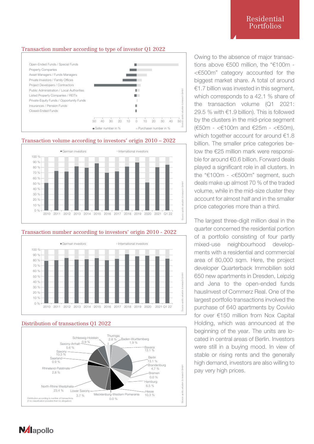## Transaction number according to type of investor Q1 2022



## Transaction volume according to investors' origin 2010 – 2022



## Transaction number according to investors' origin 2010 - 2022



## Distribution of transactions Q1 2022



Owing to the absence of major transactions above €500 million, the "€100m - <€500m" category accounted for the biggest market share. A total of around  $€1.7$  billion was invested in this segment, which corresponds to a 42.1 % share of the transaction volume (Q1 2021: 29.5 % with €1.9 billion). This is followed by the clusters in the mid-price segment (€50m - <€100m and €25m - <€50m), which together account for around €1.8 billion. The smaller price categories below the €25 million mark were responsible for around €0.6 billion. Forward deals played a significant role in all clusters. In the "€100m - <€500m" segment, such deals make up almost 70 % of the traded volume, while in the mid-size cluster they account for almost half and in the smaller price categories more than a third.

The largest three-digit million deal in the quarter concerned the residential portion of a portfolio consisting of four partly mixed-use neighbourhood developments with a residential and commercial area of 80,000 sqm. Here, the project developer Quarterback Immobilien sold 650 new apartments in Dresden, Leipzig and Jena to the open-ended funds hausInvest of Commerz Real. One of the largest portfolio transactions involved the purchase of 640 apartments by Covivio for over €150 million from Nox Capital Holding, which was announced at the beginning of the year. The units are located in central areas of Berlin. Investors were still in a buying mood. In view of stable or rising rents and the generally high demand, investors are also willing to pay very high prices.

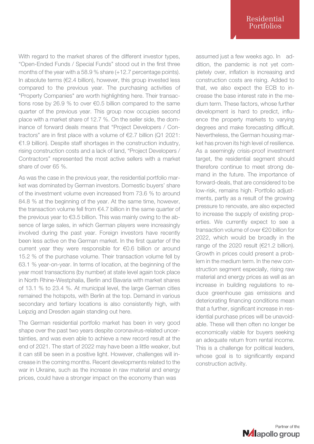With regard to the market shares of the different investor types, "Open-Ended Funds / Special Funds" stood out in the first three months of the year with a 58.9 % share (+12.7 percentage points). In absolute terms (€2.4 billion), however, this group invested less compared to the previous year. The purchasing activities of "Property Companies" are worth highlighting here. Their transactions rose by 26.9 % to over €0.5 billion compared to the same quarter of the previous year. This group now occupies second place with a market share of 12.7 %. On the seller side, the dominance of forward deals means that "Project Developers / Contractors" are in first place with a volume of €2.7 billion (Q1 2021: €1.9 billion). Despite staff shortages in the construction industry, rising construction costs and a lack of land, "Project Developers / Contractors" represented the most active sellers with a market share of over 65 %.

As was the case in the previous year, the residential portfolio market was dominated by German investors. Domestic buyers' share of the investment volume even increased from 73.6 % to around 84.8 % at the beginning of the year. At the same time, however, the transaction volume fell from €4.7 billion in the same quarter of the previous year to €3.5 billion. This was mainly owing to the absence of large sales, in which German players were increasingly involved during the past year. Foreign investors have recently been less active on the German market. In the first quarter of the current year they were responsible for €0.6 billion or around 15.2 % of the purchase volume. Their transaction volume fell by 63.1 % year-on-year. In terms of location, at the beginning of the year most transactions (by number) at state level again took place in North Rhine-Westphalia, Berlin and Bavaria with market shares of 13.1 % to 23.4 %. At municipal level, the large German cities remained the hotspots, with Berlin at the top. Demand in various secondary and tertiary locations is also consistently high, with Leipzig and Dresden again standing out here.

The German residential portfolio market has been in very good shape over the past two years despite coronavirus-related uncertainties, and was even able to achieve a new record result at the end of 2021. The start of 2022 may have been a little weaker, but it can still be seen in a positive light. However, challenges will increase in the coming months. Recent developments related to the war in Ukraine, such as the increase in raw material and energy prices, could have a stronger impact on the economy than was

assumed just a few weeks ago. In addition, the pandemic is not yet completely over, inflation is increasing and construction costs are rising. Added to that, we also expect the ECB to increase the base interest rate in the medium term. These factors, whose further development is hard to predict, influence the property markets to varying degrees and make forecasting difficult. Nevertheless, the German housing market has proven its high level of resilience. As a seemingly crisis-proof investment target, the residential segment should therefore continue to meet strong demand in the future. The importance of forward-deals, that are considered to be low-risk, remains high. Portfolio adjustments, partly as a result of the growing pressure to renovate, are also expected to increase the supply of existing properties. We currently expect to see a transaction volume of over €20 billion for 2022, which would be broadly in the range of the 2020 result (€21.2 billion). Growth in prices could present a problem in the medium term. In the new construction segment especially, rising raw material and energy prices as well as an increase in building regulations to reduce greenhouse gas emissions and deteriorating financing conditions mean that a further, significant increase in residential purchase prices will be unavoidable. These will then often no longer be economically viable for buyers seeking an adequate return from rental income. This is a challenge for political leaders, whose goal is to significantly expand construction activity.